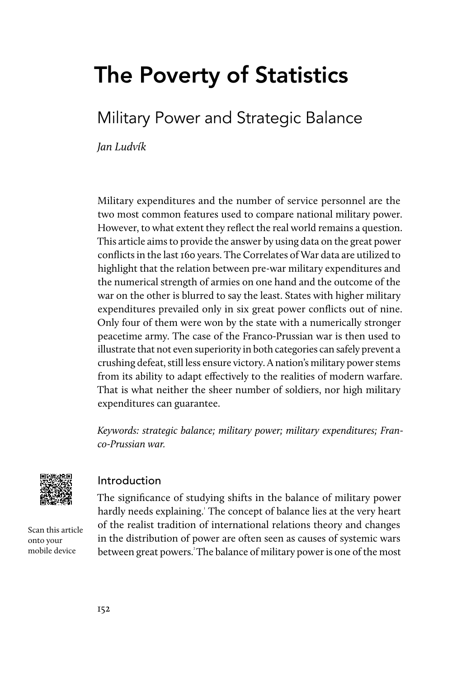# The Poverty of Statistics

## Military Power and Strategic Balance

Jan Ludvík

Military expenditures and the number of service personnel are the two most common features used to compare national military power. However, to what extent they reflect the real world remains a question. This article aims to provide the answer by using data on the great power conflicts in the last 160 years. The Correlates of War data are utilized to highlight that the relation between pre-war military expenditures and the numerical strength of armies on one hand and the outcome of the war on the other is blurred to say the least. States with higher military expenditures prevailed only in six great power conflicts out of nine. Only four of them were won by the state with a numerically stronger peacetime army. The case of the Franco-Prussian war is then used to illustrate that not even superiority in both categories can safely prevent a crushing defeat, still less ensure victory. A nation's military power stems from its ability to adapt effectively to the realities of modern warfare. That is what neither the sheer number of soldiers, nor high military expenditures can guarantee.

Keywords: strategic balance; military power; military expenditures; Franco-Prussian war.



#### Introduction

The significance of studying shifts in the balance of military power hardly needs explaining.' The concept of balance lies at the very heart of the realist tradition of international relations theory and changes in the distribution of power are often seen as causes of systemic wars between great powers.<sup>2</sup> The balance of military power is one of the most

Scan this article onto your mobile device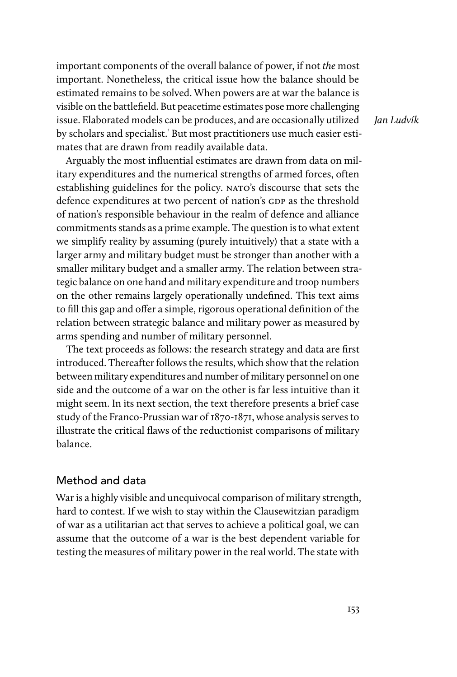important components of the overall balance of power, if not the most important. Nonetheless, the critical issue how the balance should be estimated remains to be solved. When powers are at war the balance is visible on the battlefield. But peacetime estimates pose more challenging issue. Elaborated models can be produces, and are occasionally utilized by scholars and specialist.' But most practitioners use much easier estimates that are drawn from readily available data.

Arguably the most influential estimates are drawn from data on military expenditures and the numerical strengths of armed forces, often establishing guidelines for the policy. NATO's discourse that sets the defence expenditures at two percent of nation's GDP as the threshold of nation's responsible behaviour in the realm of defence and alliance commitments stands as a prime example. The question is to what extent we simplify reality by assuming (purely intuitively) that a state with a larger army and military budget must be stronger than another with a smaller military budget and a smaller army. The relation between strategic balance on one hand and military expenditure and troop numbers on the other remains largely operationally undefined. This text aims to fill this gap and offer a simple, rigorous operational definition of the relation between strategic balance and military power as measured by arms spending and number of military personnel.

The text proceeds as follows: the research strategy and data are first introduced. Thereafter follows the results, which show that the relation between military expenditures and number of military personnel on one side and the outcome of a war on the other is far less intuitive than it might seem. In its next section, the text therefore presents a brief case study of the Franco-Prussian war of 1870-1871, whose analysis serves to illustrate the critical flaws of the reductionist comparisons of military balance.

#### Method and data

War is a highly visible and unequivocal comparison of military strength, hard to contest. If we wish to stay within the Clausewitzian paradigm of war as a utilitarian act that serves to achieve a political goal, we can assume that the outcome of a war is the best dependent variable for testing the measures of military power in the real world. The state with

Jan Ludvík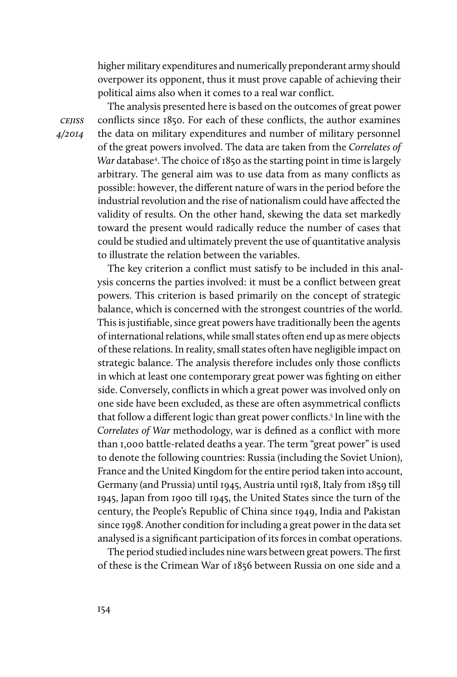higher military expenditures and numerically preponderant army should overpower its opponent, thus it must prove capable of achieving their political aims also when it comes to a real war conflict.

**CEJISS** 4/2014

The analysis presented here is based on the outcomes of great power conflicts since 1850. For each of these conflicts, the author examines the data on military expenditures and number of military personnel of the great powers involved. The data are taken from the Correlates of War database<sup>4</sup>. The choice of 1850 as the starting point in time is largely arbitrary. The general aim was to use data from as many conflicts as possible: however, the different nature of wars in the period before the industrial revolution and the rise of nationalism could have affected the validity of results. On the other hand, skewing the data set markedly toward the present would radically reduce the number of cases that could be studied and ultimately prevent the use of quantitative analysis to illustrate the relation between the variables.

The key criterion a conflict must satisfy to be included in this analysis concerns the parties involved: it must be a conflict between great powers. This criterion is based primarily on the concept of strategic balance, which is concerned with the strongest countries of the world. This is justifiable, since great powers have traditionally been the agents of international relations, while small states often end up as mere objects of these relations. In reality, small states often have negligible impact on strategic balance. The analysis therefore includes only those conflicts in which at least one contemporary great power was fighting on either side. Conversely, conflicts in which a great power was involved only on one side have been excluded, as these are often asymmetrical conflicts that follow a different logic than great power conflicts.<sup>5</sup> In line with the Correlates of War methodology, war is defined as a conflict with more than 1,000 battle-related deaths a year. The term "great power" is used to denote the following countries: Russia (including the Soviet Union), France and the United Kingdom for the entire period taken into account, Germany (and Prussia) until 1945, Austria until 1918, Italy from 1859 till 1945, Japan from 1900 till 1945, the United States since the turn of the century, the People's Republic of China since 1949, India and Pakistan since 1998. Another condition for including a great power in the data set analysed is a significant participation of its forces in combat operations.

The period studied includes nine wars between great powers. The first of these is the Crimean War of 1856 between Russia on one side and a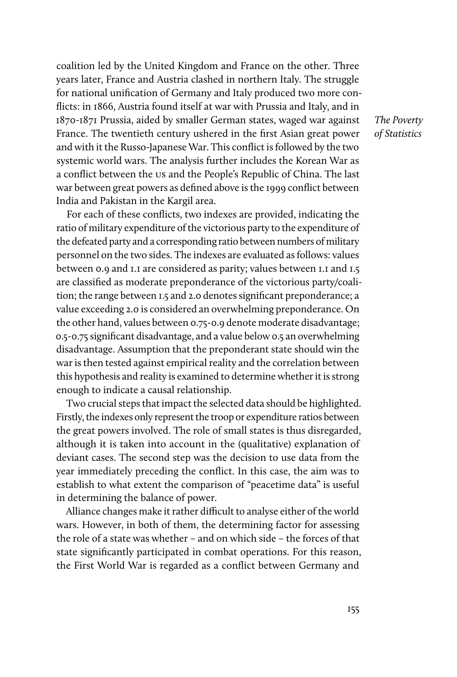coalition led by the United Kingdom and France on the other. Three years later, France and Austria clashed in northern Italy. The struggle for national unification of Germany and Italy produced two more conflicts: in 1866, Austria found itself at war with Prussia and Italy, and in 1870-1871 Prussia, aided by smaller German states, waged war against France. The twentieth century ushered in the first Asian great power and with it the Russo-Japanese War. This conflict is followed by the two systemic world wars. The analysis further includes the Korean War as a conflict between the us and the People's Republic of China. The last war between great powers as defined above is the 1999 conflict between India and Pakistan in the Kargil area.

For each of these conflicts, two indexes are provided, indicating the ratio of military expenditure of the victorious party to the expenditure of the defeated party and a corresponding ratio between numbers of military personnel on the two sides. The indexes are evaluated as follows: values between 0.9 and 1.1 are considered as parity; values between 1.1 and 1.5 are classified as moderate preponderance of the victorious party/coalition; the range between 1.5 and 2.0 denotes significant preponderance; a value exceeding 2.0 is considered an overwhelming preponderance. On the other hand, values between 0.75-0.9 denote moderate disadvantage; 0.5-0.75 significant disadvantage, and a value below 0.5 an overwhelming disadvantage. Assumption that the preponderant state should win the war is then tested against empirical reality and the correlation between this hypothesis and reality is examined to determine whether it is strong enough to indicate a causal relationship.

Two crucial steps that impact the selected data should be highlighted. Firstly, the indexes only represent the troop or expenditure ratios between the great powers involved. The role of small states is thus disregarded, although it is taken into account in the (qualitative) explanation of deviant cases. The second step was the decision to use data from the year immediately preceding the conflict. In this case, the aim was to establish to what extent the comparison of "peacetime data" is useful in determining the balance of power.

Alliance changes make it rather difficult to analyse either of the world wars. However, in both of them, the determining factor for assessing the role of a state was whether – and on which side – the forces of that state significantly participated in combat operations. For this reason, the First World War is regarded as a conflict between Germany and

The Poverty of Statistics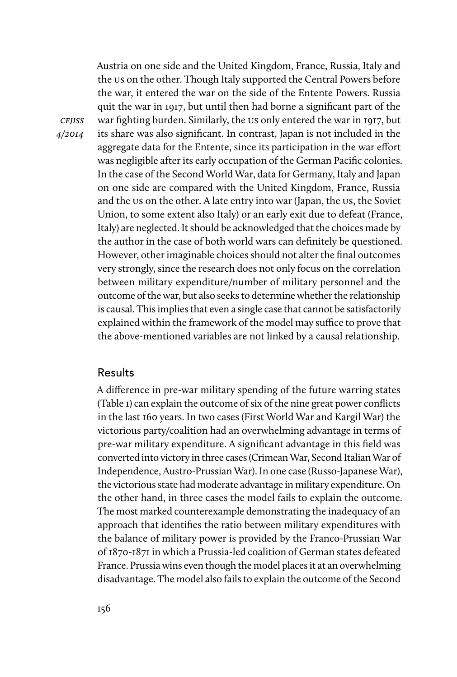Austria on one side and the United Kingdom, France, Russia, Italy and the us on the other. Though Italy supported the Central Powers before the war, it entered the war on the side of the Entente Powers. Russia quit the war in 1917, but until then had borne a significant part of the war fighting burden. Similarly, the us only entered the war in 1917, but its share was also significant. In contrast, Japan is not included in the aggregate data for the Entente, since its participation in the war effort was negligible after its early occupation of the German Pacific colonies. In the case of the Second World War, data for Germany, Italy and Japan on one side are compared with the United Kingdom, France, Russia and the us on the other. A late entry into war (Japan, the us, the Soviet Union, to some extent also Italy) or an early exit due to defeat (France, Italy) are neglected. It should be acknowledged that the choices made by the author in the case of both world wars can definitely be questioned. However, other imaginable choices should not alter the final outcomes very strongly, since the research does not only focus on the correlation between military expenditure/number of military personnel and the outcome of the war, but also seeks to determine whether the relationship is causal. This implies that even a single case that cannot be satisfactorily explained within the framework of the model may suffice to prove that the above-mentioned variables are not linked by a causal relationship.

#### Results

**CEJISS** 4/2014

> A difference in pre-war military spending of the future warring states (Table 1) can explain the outcome of six of the nine great power conflicts in the last 160 years. In two cases (First World War and Kargil War) the victorious party/coalition had an overwhelming advantage in terms of pre-war military expenditure. A significant advantage in this field was converted into victory in three cases (Crimean War, Second Italian War of Independence, Austro-Prussian War). In one case (Russo-Japanese War), the victorious state had moderate advantage in military expenditure. On the other hand, in three cases the model fails to explain the outcome. The most marked counterexample demonstrating the inadequacy of an approach that identifies the ratio between military expenditures with the balance of military power is provided by the Franco-Prussian War of 1870-1871 in which a Prussia-led coalition of German states defeated France. Prussia wins even though the model places it at an overwhelming disadvantage. The model also fails to explain the outcome of the Second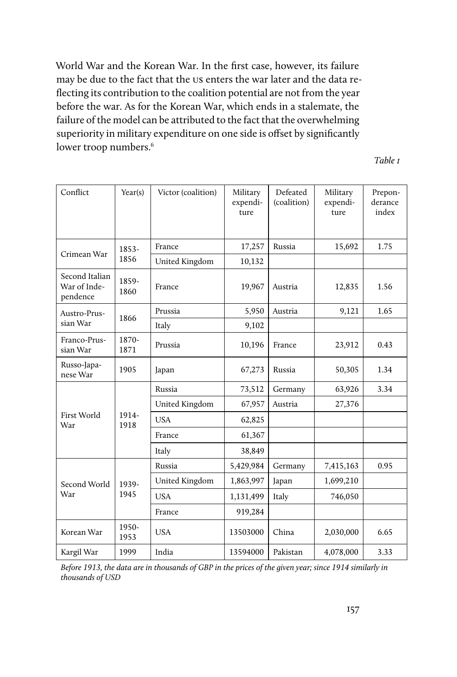World War and the Korean War. In the first case, however, its failure may be due to the fact that the us enters the war later and the data reflecting its contribution to the coalition potential are not from the year before the war. As for the Korean War, which ends in a stalemate, the failure of the model can be attributed to the fact that the overwhelming superiority in military expenditure on one side is offset by significantly lower troop numbers.<sup>6</sup>

Table 1

| Conflict                                   | Year(s)       | Victor (coalition) | Military<br>expendi-<br>ture | Defeated<br>(coalition) | Military<br>expendi-<br>ture | Prepon-<br>derance<br>index |
|--------------------------------------------|---------------|--------------------|------------------------------|-------------------------|------------------------------|-----------------------------|
| Crimean War                                | 1853-<br>1856 | France             | 17,257                       | Russia                  | 15,692                       | 1.75                        |
|                                            |               | United Kingdom     | 10,132                       |                         |                              |                             |
| Second Italian<br>War of Inde-<br>pendence | 1859-<br>1860 | France             | 19,967                       | Austria                 | 12,835                       | 1.56                        |
| Austro-Prus-<br>sian War                   | 1866          | Prussia            | 5,950                        | Austria                 | 9,121                        | 1.65                        |
|                                            |               | Italy              | 9,102                        |                         |                              |                             |
| Franco-Prus-<br>sian War                   | 1870-<br>1871 | Prussia            | 10,196                       | France                  | 23,912                       | 0.43                        |
| Russo-Japa-<br>nese War                    | 1905          | Japan              | 67,273                       | Russia                  | 50,305                       | 1.34                        |
| First World<br>War                         | 1914-<br>1918 | Russia             | 73,512                       | Germany                 | 63,926                       | 3.34                        |
|                                            |               | United Kingdom     | 67,957                       | Austria                 | 27,376                       |                             |
|                                            |               | <b>USA</b>         | 62,825                       |                         |                              |                             |
|                                            |               | France             | 61,367                       |                         |                              |                             |
|                                            |               | Italy              | 38,849                       |                         |                              |                             |
| Second World<br>War                        | 1939-<br>1945 | Russia             | 5,429,984                    | Germany                 | 7,415,163                    | 0.95                        |
|                                            |               | United Kingdom     | 1,863,997                    | Japan                   | 1,699,210                    |                             |
|                                            |               | <b>USA</b>         | 1,131,499                    | Italy                   | 746,050                      |                             |
|                                            |               | France             | 919,284                      |                         |                              |                             |
| Korean War                                 | 1950-<br>1953 | <b>USA</b>         | 13503000                     | China                   | 2,030,000                    | 6.65                        |
| Kargil War                                 | 1999          | India              | 13594000                     | Pakistan                | 4,078,000                    | 3.33                        |

Before 1913, the data are in thousands of GBP in the prices of the given year; since 1914 similarly in thousands of USD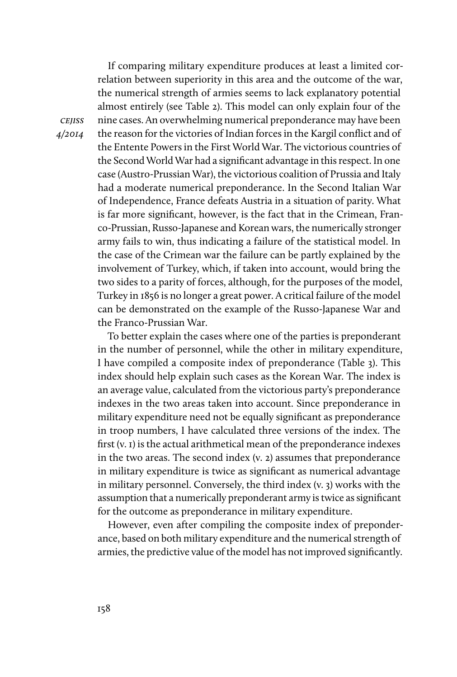If comparing military expenditure produces at least a limited correlation between superiority in this area and the outcome of the war, the numerical strength of armies seems to lack explanatory potential almost entirely (see Table 2). This model can only explain four of the nine cases. An overwhelming numerical preponderance may have been the reason for the victories of Indian forces in the Kargil conflict and of the Entente Powers in the First World War. The victorious countries of the Second World War had a significant advantage in this respect. In one case (Austro-Prussian War), the victorious coalition of Prussia and Italy had a moderate numerical preponderance. In the Second Italian War of Independence, France defeats Austria in a situation of parity. What is far more significant, however, is the fact that in the Crimean, Franco-Prussian, Russo-Japanese and Korean wars, the numerically stronger army fails to win, thus indicating a failure of the statistical model. In the case of the Crimean war the failure can be partly explained by the involvement of Turkey, which, if taken into account, would bring the two sides to a parity of forces, although, for the purposes of the model, Turkey in 1856 is no longer a great power. A critical failure of the model can be demonstrated on the example of the Russo-Japanese War and the Franco-Prussian War.

To better explain the cases where one of the parties is preponderant in the number of personnel, while the other in military expenditure, I have compiled a composite index of preponderance (Table 3). This index should help explain such cases as the Korean War. The index is an average value, calculated from the victorious party's preponderance indexes in the two areas taken into account. Since preponderance in military expenditure need not be equally significant as preponderance in troop numbers, I have calculated three versions of the index. The first (v. 1) is the actual arithmetical mean of the preponderance indexes in the two areas. The second index (v. 2) assumes that preponderance in military expenditure is twice as significant as numerical advantage in military personnel. Conversely, the third index (v. 3) works with the assumption that a numerically preponderant army is twice as significant for the outcome as preponderance in military expenditure.

However, even after compiling the composite index of preponderance, based on both military expenditure and the numerical strength of armies, the predictive value of the model has not improved significantly.

**CEJISS** 4/2014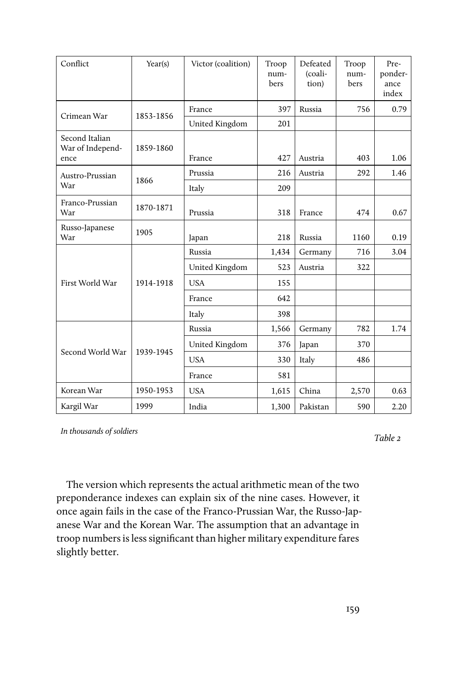| Conflict                                   | Year(s)   | Victor (coalition) | Troop<br>num-<br>bers | Defeated<br>(coali-<br>tion) | Troop<br>num-<br>bers | Pre-<br>ponder-<br>ance<br>index |
|--------------------------------------------|-----------|--------------------|-----------------------|------------------------------|-----------------------|----------------------------------|
| Crimean War                                | 1853-1856 | France             | 397                   | Russia                       | 756                   | 0.79                             |
|                                            |           | United Kingdom     | 201                   |                              |                       |                                  |
| Second Italian<br>War of Independ-<br>ence | 1859-1860 | France             | 427                   | Austria                      | 403                   | 1.06                             |
| Austro-Prussian<br>War                     | 1866      | Prussia            | 216                   | Austria                      | 292                   | 1.46                             |
|                                            |           | Italy              | 209                   |                              |                       |                                  |
| Franco-Prussian<br>War                     | 1870-1871 | Prussia            | 318                   | France                       | 474                   | 0.67                             |
| Russo-Japanese<br>War                      | 1905      | Japan              | 218                   | Russia                       | 1160                  | 0.19                             |
| First World War                            | 1914-1918 | Russia             | 1,434                 | Germany                      | 716                   | 3.04                             |
|                                            |           | United Kingdom     | 523                   | Austria                      | 322                   |                                  |
|                                            |           | <b>USA</b>         | 155                   |                              |                       |                                  |
|                                            |           | France             | 642                   |                              |                       |                                  |
|                                            |           | Italy              | 398                   |                              |                       |                                  |
|                                            | 1939-1945 | Russia             | 1,566                 | Germany                      | 782                   | 1.74                             |
| Second World War                           |           | United Kingdom     | 376                   | Japan                        | 370                   |                                  |
|                                            |           | <b>USA</b>         | 330                   | Italy                        | 486                   |                                  |
|                                            |           | France             | 581                   |                              |                       |                                  |
| Korean War                                 | 1950-1953 | <b>USA</b>         | 1,615                 | China                        | 2,570                 | 0.63                             |
| Kargil War                                 | 1999      | India              | 1,300                 | Pakistan                     | 590                   | 2.20                             |

In thousands of soldiers

Table 2

The version which represents the actual arithmetic mean of the two preponderance indexes can explain six of the nine cases. However, it once again fails in the case of the Franco-Prussian War, the Russo-Japanese War and the Korean War. The assumption that an advantage in troop numbers is less significant than higher military expenditure fares slightly better.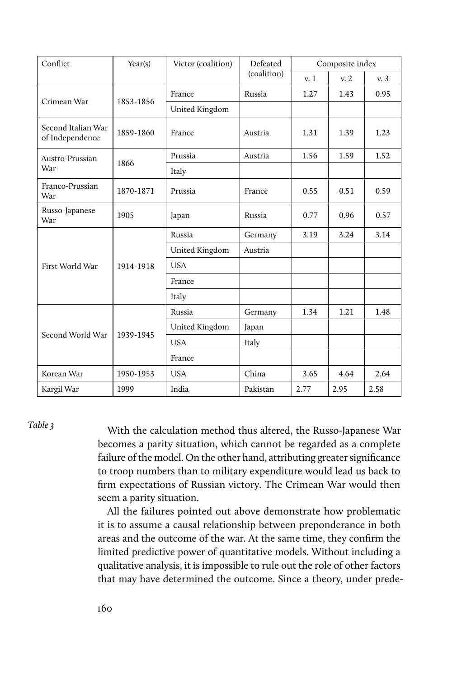| Conflict                              | Year(s)   | Victor (coalition) | Defeated    | Composite index |      |      |
|---------------------------------------|-----------|--------------------|-------------|-----------------|------|------|
|                                       |           |                    | (coalition) | v.1             | v.2  | v.3  |
| Crimean War                           |           | France             | Russia      | 1.27            | 1.43 | 0.95 |
|                                       | 1853-1856 | United Kingdom     |             |                 |      |      |
| Second Italian War<br>of Independence | 1859-1860 | France             | Austria     | 1.31            | 1.39 | 1.23 |
| Austro-Prussian<br>War                |           | Prussia            | Austria     | 1.56            | 1.59 | 1.52 |
|                                       | 1866      | Italy              |             |                 |      |      |
| Franco-Prussian<br>War                | 1870-1871 | Prussia            | France      | 0.55            | 0.51 | 0.59 |
| Russo-Japanese<br>War                 | 1905      | Japan              | Russia      | 0.77            | 0.96 | 0.57 |
|                                       |           | Russia             | Germany     | 3.19            | 3.24 | 3.14 |
|                                       |           | United Kingdom     | Austria     |                 |      |      |
| First World War                       | 1914-1918 | <b>USA</b>         |             |                 |      |      |
|                                       |           | France             |             |                 |      |      |
|                                       |           | Italy              |             |                 |      |      |
| Second World War                      | 1939-1945 | Russia             | Germany     | 1.34            | 1.21 | 1.48 |
|                                       |           | United Kingdom     | Japan       |                 |      |      |
|                                       |           | <b>USA</b>         | Italy       |                 |      |      |
|                                       |           | France             |             |                 |      |      |
| Korean War                            | 1950-1953 | <b>USA</b>         | China       | 3.65            | 4.64 | 2.64 |
| Kargil War                            | 1999      | India              | Pakistan    | 2.77            | 2.95 | 2.58 |

Table 3

With the calculation method thus altered, the Russo-Japanese War becomes a parity situation, which cannot be regarded as a complete failure of the model. On the other hand, attributing greater significance to troop numbers than to military expenditure would lead us back to firm expectations of Russian victory. The Crimean War would then seem a parity situation.

All the failures pointed out above demonstrate how problematic it is to assume a causal relationship between preponderance in both areas and the outcome of the war. At the same time, they confirm the limited predictive power of quantitative models. Without including a qualitative analysis, it is impossible to rule out the role of other factors that may have determined the outcome. Since a theory, under prede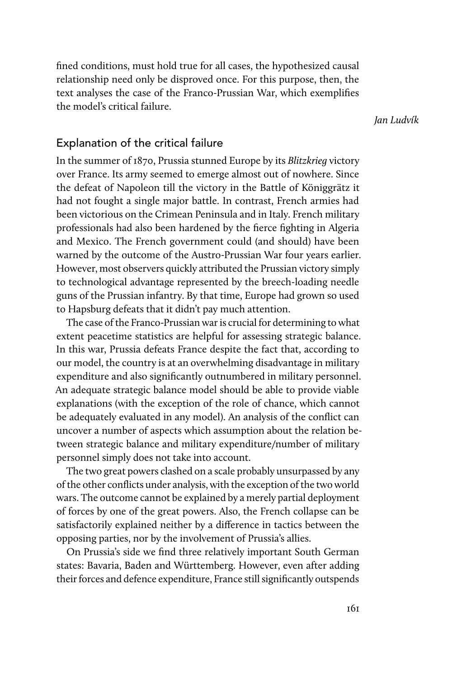fined conditions, must hold true for all cases, the hypothesized causal relationship need only be disproved once. For this purpose, then, the text analyses the case of the Franco-Prussian War, which exemplifies the model's critical failure.

Jan Ludvík

### Explanation of the critical failure

In the summer of 1870, Prussia stunned Europe by its Blitzkrieg victory over France. Its army seemed to emerge almost out of nowhere. Since the defeat of Napoleon till the victory in the Battle of Königgrätz it had not fought a single major battle. In contrast, French armies had been victorious on the Crimean Peninsula and in Italy. French military professionals had also been hardened by the fierce fighting in Algeria and Mexico. The French government could (and should) have been warned by the outcome of the Austro-Prussian War four years earlier. However, most observers quickly attributed the Prussian victory simply to technological advantage represented by the breech-loading needle guns of the Prussian infantry. By that time, Europe had grown so used to Hapsburg defeats that it didn't pay much attention.

The case of the Franco-Prussian war is crucial for determining to what extent peacetime statistics are helpful for assessing strategic balance. In this war, Prussia defeats France despite the fact that, according to our model, the country is at an overwhelming disadvantage in military expenditure and also significantly outnumbered in military personnel. An adequate strategic balance model should be able to provide viable explanations (with the exception of the role of chance, which cannot be adequately evaluated in any model). An analysis of the conflict can uncover a number of aspects which assumption about the relation between strategic balance and military expenditure/number of military personnel simply does not take into account.

The two great powers clashed on a scale probably unsurpassed by any of the other conflicts under analysis, with the exception of the two world wars. The outcome cannot be explained by a merely partial deployment of forces by one of the great powers. Also, the French collapse can be satisfactorily explained neither by a difference in tactics between the opposing parties, nor by the involvement of Prussia's allies.

On Prussia's side we find three relatively important South German states: Bavaria, Baden and Württemberg. However, even after adding their forces and defence expenditure, France still significantly outspends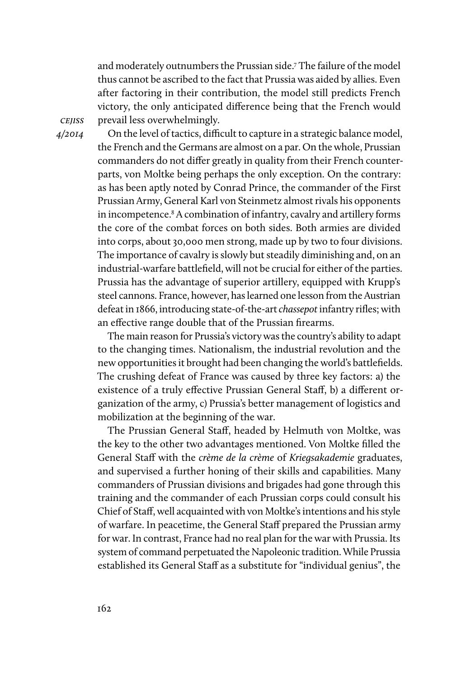and moderately outnumbers the Prussian side.7 The failure of the model thus cannot be ascribed to the fact that Prussia was aided by allies. Even after factoring in their contribution, the model still predicts French victory, the only anticipated difference being that the French would prevail less overwhelmingly.

**CEJISS** 4/2014

On the level of tactics, difficult to capture in a strategic balance model, the French and the Germans are almost on a par. On the whole, Prussian commanders do not differ greatly in quality from their French counterparts, von Moltke being perhaps the only exception. On the contrary: as has been aptly noted by Conrad Prince, the commander of the First Prussian Army, General Karl von Steinmetz almost rivals his opponents in incompetence.8 A combination of infantry, cavalry and artillery forms the core of the combat forces on both sides. Both armies are divided into corps, about 30,000 men strong, made up by two to four divisions. The importance of cavalry is slowly but steadily diminishing and, on an industrial-warfare battlefield, will not be crucial for either of the parties. Prussia has the advantage of superior artillery, equipped with Krupp's steel cannons. France, however, has learned one lesson from the Austrian defeat in 1866, introducing state-of-the-art chassepot infantry rifles; with an effective range double that of the Prussian firearms.

The main reason for Prussia's victory was the country's ability to adapt to the changing times. Nationalism, the industrial revolution and the new opportunities it brought had been changing the world's battlefields. The crushing defeat of France was caused by three key factors: a) the existence of a truly effective Prussian General Staff, b) a different organization of the army, c) Prussia's better management of logistics and mobilization at the beginning of the war.

The Prussian General Staff, headed by Helmuth von Moltke, was the key to the other two advantages mentioned. Von Moltke filled the General Staff with the crème de la crème of Kriegsakademie graduates, and supervised a further honing of their skills and capabilities. Many commanders of Prussian divisions and brigades had gone through this training and the commander of each Prussian corps could consult his Chief of Staff, well acquainted with von Moltke's intentions and his style of warfare. In peacetime, the General Staff prepared the Prussian army for war. In contrast, France had no real plan for the war with Prussia. Its system of command perpetuated the Napoleonic tradition. While Prussia established its General Staff as a substitute for "individual genius", the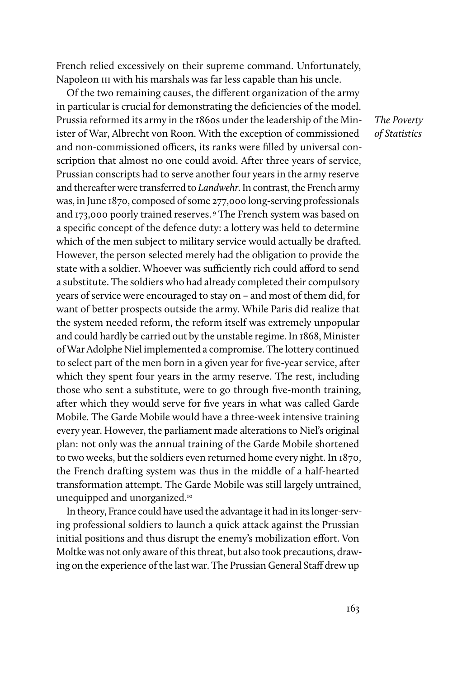French relied excessively on their supreme command. Unfortunately, Napoleon III with his marshals was far less capable than his uncle.

Of the two remaining causes, the different organization of the army in particular is crucial for demonstrating the deficiencies of the model. Prussia reformed its army in the 1860s under the leadership of the Minister of War, Albrecht von Roon. With the exception of commissioned and non-commissioned officers, its ranks were filled by universal conscription that almost no one could avoid. After three years of service, Prussian conscripts had to serve another four years in the army reserve and thereafter were transferred to Landwehr. In contrast, the French army was, in June 1870, composed of some 277,000 long-serving professionals and 173,000 poorly trained reserves. 9 The French system was based on a specific concept of the defence duty: a lottery was held to determine which of the men subject to military service would actually be drafted. However, the person selected merely had the obligation to provide the state with a soldier. Whoever was sufficiently rich could afford to send a substitute. The soldiers who had already completed their compulsory years of service were encouraged to stay on – and most of them did, for want of better prospects outside the army. While Paris did realize that the system needed reform, the reform itself was extremely unpopular and could hardly be carried out by the unstable regime. In 1868, Minister of War Adolphe Niel implemented a compromise. The lottery continued to select part of the men born in a given year for five-year service, after which they spent four years in the army reserve. The rest, including those who sent a substitute, were to go through five-month training, after which they would serve for five years in what was called Garde Mobile. The Garde Mobile would have a three-week intensive training every year. However, the parliament made alterations to Niel's original plan: not only was the annual training of the Garde Mobile shortened to two weeks, but the soldiers even returned home every night. In 1870, the French drafting system was thus in the middle of a half-hearted transformation attempt. The Garde Mobile was still largely untrained, unequipped and unorganized.<sup>10</sup>

In theory, France could have used the advantage it had in its longer-serving professional soldiers to launch a quick attack against the Prussian initial positions and thus disrupt the enemy's mobilization effort. Von Moltke was not only aware of this threat, but also took precautions, drawing on the experience of the last war. The Prussian General Staff drew up

The Poverty of Statistics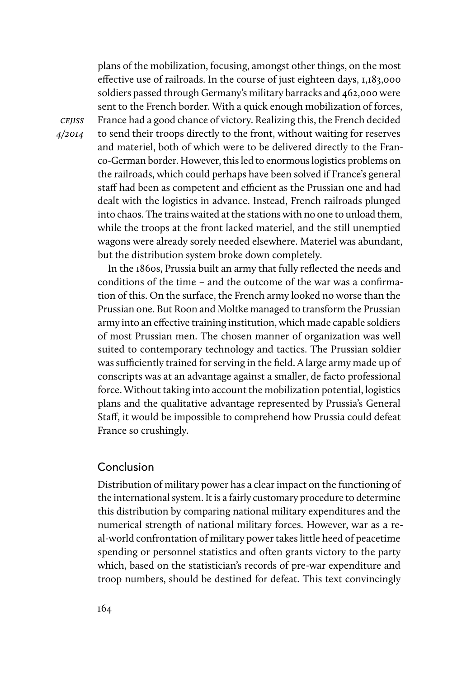plans of the mobilization, focusing, amongst other things, on the most effective use of railroads. In the course of just eighteen days, 1,183,000 soldiers passed through Germany's military barracks and 462,000 were sent to the French border. With a quick enough mobilization of forces, France had a good chance of victory. Realizing this, the French decided to send their troops directly to the front, without waiting for reserves and materiel, both of which were to be delivered directly to the Franco-German border. However, this led to enormous logistics problems on the railroads, which could perhaps have been solved if France's general staff had been as competent and efficient as the Prussian one and had dealt with the logistics in advance. Instead, French railroads plunged into chaos. The trains waited at the stations with no one to unload them, while the troops at the front lacked materiel, and the still unemptied wagons were already sorely needed elsewhere. Materiel was abundant, but the distribution system broke down completely.

In the 1860s, Prussia built an army that fully reflected the needs and conditions of the time – and the outcome of the war was a confirmation of this. On the surface, the French army looked no worse than the Prussian one. But Roon and Moltke managed to transform the Prussian army into an effective training institution, which made capable soldiers of most Prussian men. The chosen manner of organization was well suited to contemporary technology and tactics. The Prussian soldier was sufficiently trained for serving in the field. A large army made up of conscripts was at an advantage against a smaller, de facto professional force. Without taking into account the mobilization potential, logistics plans and the qualitative advantage represented by Prussia's General Staff, it would be impossible to comprehend how Prussia could defeat France so crushingly.

#### Conclusion

**CEJISS** 4/2014

> Distribution of military power has a clear impact on the functioning of the international system. It is a fairly customary procedure to determine this distribution by comparing national military expenditures and the numerical strength of national military forces. However, war as a real-world confrontation of military power takes little heed of peacetime spending or personnel statistics and often grants victory to the party which, based on the statistician's records of pre-war expenditure and troop numbers, should be destined for defeat. This text convincingly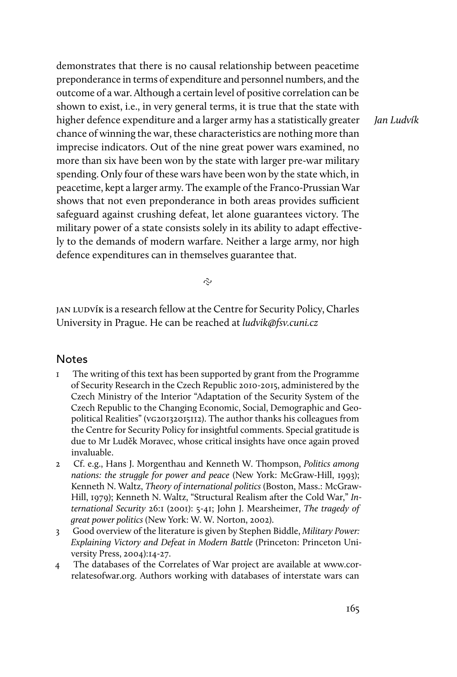demonstrates that there is no causal relationship between peacetime preponderance in terms of expenditure and personnel numbers, and the outcome of a war. Although a certain level of positive correlation can be shown to exist, i.e., in very general terms, it is true that the state with higher defence expenditure and a larger army has a statistically greater chance of winning the war, these characteristics are nothing more than imprecise indicators. Out of the nine great power wars examined, no more than six have been won by the state with larger pre-war military spending. Only four of these wars have been won by the state which, in peacetime, kept a larger army. The example of the Franco-Prussian War shows that not even preponderance in both areas provides sufficient safeguard against crushing defeat, let alone guarantees victory. The military power of a state consists solely in its ability to adapt effectively to the demands of modern warfare. Neither a large army, nor high defence expenditures can in themselves guarantee that.

Jan Ludvík

 $\tilde{c}$ 

jan ludvík is a research fellow at the Centre for Security Policy, Charles University in Prague. He can be reached at ludvik@fsv.cuni.cz

#### **Notes**

- 1 The writing of this text has been supported by grant from the Programme of Security Research in the Czech Republic 2010-2015, administered by the Czech Ministry of the Interior "Adaptation of the Security System of the Czech Republic to the Changing Economic, Social, Demographic and Geopolitical Realities" (vg20132015112). The author thanks his colleagues from the Centre for Security Policy for insightful comments. Special gratitude is due to Mr Luděk Moravec, whose critical insights have once again proved invaluable.
- 2 Cf. e.g., Hans J. Morgenthau and Kenneth W. Thompson, Politics among nations: the struggle for power and peace (New York: McGraw-Hill, 1993); Kenneth N. Waltz, Theory of international politics (Boston, Mass.: McGraw-Hill, 1979); Kenneth N. Waltz, "Structural Realism after the Cold War," International Security 26:1 (2001): 5-41; John J. Mearsheimer, The tragedy of great power politics (New York: W. W. Norton, 2002).
- 3 Good overview of the literature is given by Stephen Biddle, Military Power: Explaining Victory and Defeat in Modern Battle (Princeton: Princeton University Press, 2004):14-27.
- 4 The databases of the Correlates of War project are available at www.correlatesofwar.org. Authors working with databases of interstate wars can